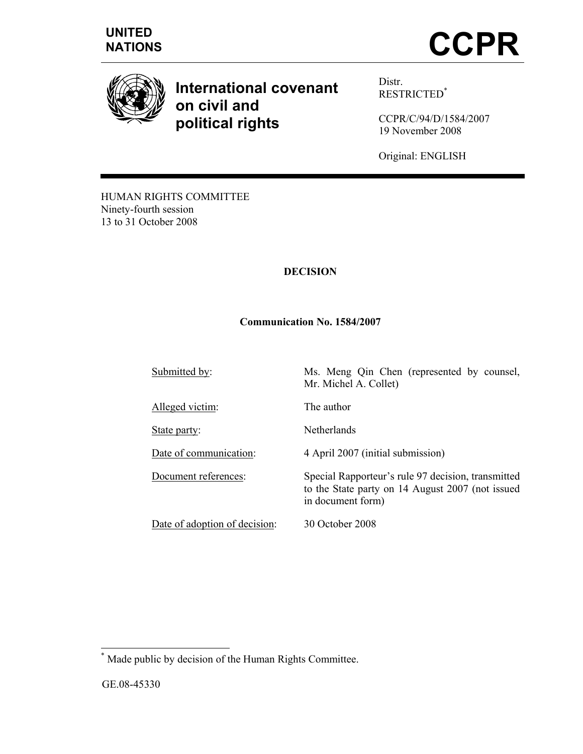





**International covenant on civil and political rights** 

Distr. RESTRICTED\*

CCPR/C/94/D/1584/2007 19 November 2008

Original: ENGLISH

HUMAN RIGHTS COMMITTEE Ninety-fourth session 13 to 31 October 2008

# **DECISION**

#### **Communication No. 1584/2007**

Submitted by: Ms. Meng Qin Chen (represented by counsel, Mr. Michel A. Collet)

Alleged victim: The author

Date of adoption of decision: 30 October 2008

State party: Netherlands

Date of communication: 4 April 2007 (initial submission)

Document references: Special Rapporteur's rule 97 decision, transmitted to the State party on 14 August 2007 (not issued in document form)

 \* Made public by decision of the Human Rights Committee.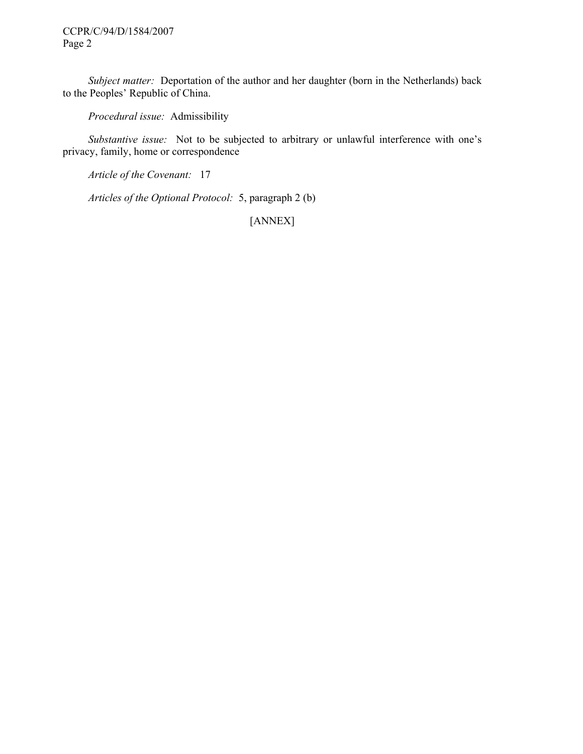CCPR/C/94/D/1584/2007 Page 2

*Subject matter:* Deportation of the author and her daughter (born in the Netherlands) back to the Peoples' Republic of China.

 *Procedural issue:* Admissibility

 *Substantive issue:* Not to be subjected to arbitrary or unlawful interference with one's privacy, family, home or correspondence

 *Article of the Covenant:* 17

 *Articles of the Optional Protocol:* 5, paragraph 2 (b)

[ANNEX]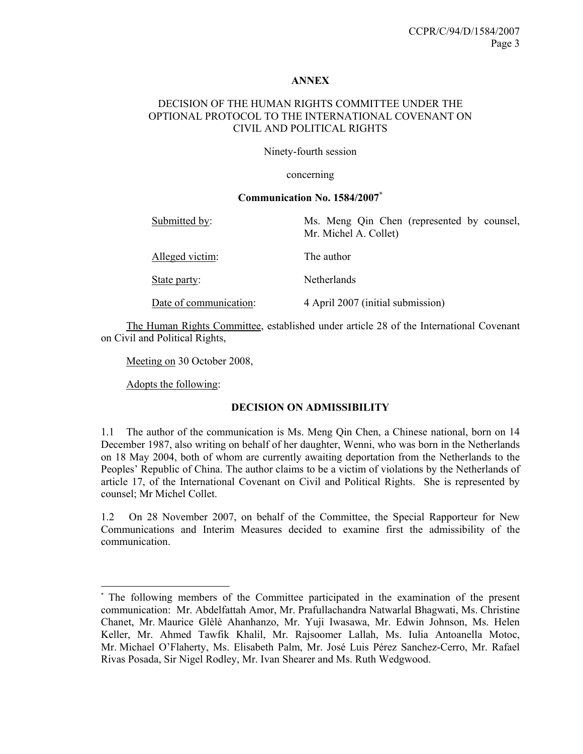#### **ANNEX**

# DECISION OF THE HUMAN RIGHTS COMMITTEE UNDER THE OPTIONAL PROTOCOL TO THE INTERNATIONAL COVENANT ON CIVIL AND POLITICAL RIGHTS

Ninety-fourth session

concerning

#### **Communication No. 1584/2007\***

| Submitted by:          | Ms. Meng Qin Chen (represented by counsel,<br>Mr. Michel A. Collet) |
|------------------------|---------------------------------------------------------------------|
| Alleged victim:        | The author                                                          |
| State party:           | <b>Netherlands</b>                                                  |
| Date of communication: | 4 April 2007 (initial submission)                                   |

 The Human Rights Committee, established under article 28 of the International Covenant on Civil and Political Rights,

Meeting on 30 October 2008,

Adopts the following:

 $\overline{a}$ 

# **DECISION ON ADMISSIBILITY**

1.1 The author of the communication is Ms. Meng Qin Chen, a Chinese national, born on 14 December 1987, also writing on behalf of her daughter, Wenni, who was born in the Netherlands on 18 May 2004, both of whom are currently awaiting deportation from the Netherlands to the Peoples' Republic of China. The author claims to be a victim of violations by the Netherlands of article 17, of the International Covenant on Civil and Political Rights. She is represented by counsel; Mr Michel Collet.

1.2 On 28 November 2007, on behalf of the Committee, the Special Rapporteur for New Communications and Interim Measures decided to examine first the admissibility of the communication.

<sup>\*</sup> The following members of the Committee participated in the examination of the present communication: Mr. Abdelfattah Amor, Mr. Prafullachandra Natwarlal Bhagwati, Ms. Christine Chanet, Mr. Maurice Glèlè Ahanhanzo, Mr. Yuji Iwasawa, Mr. Edwin Johnson, Ms. Helen Keller, Mr. Ahmed Tawfik Khalil, Mr. Rajsoomer Lallah, Ms. Iulia Antoanella Motoc, Mr. Michael O'Flaherty, Ms. Elisabeth Palm, Mr. José Luis Pérez Sanchez-Cerro, Mr. Rafael Rivas Posada, Sir Nigel Rodley, Mr. Ivan Shearer and Ms. Ruth Wedgwood.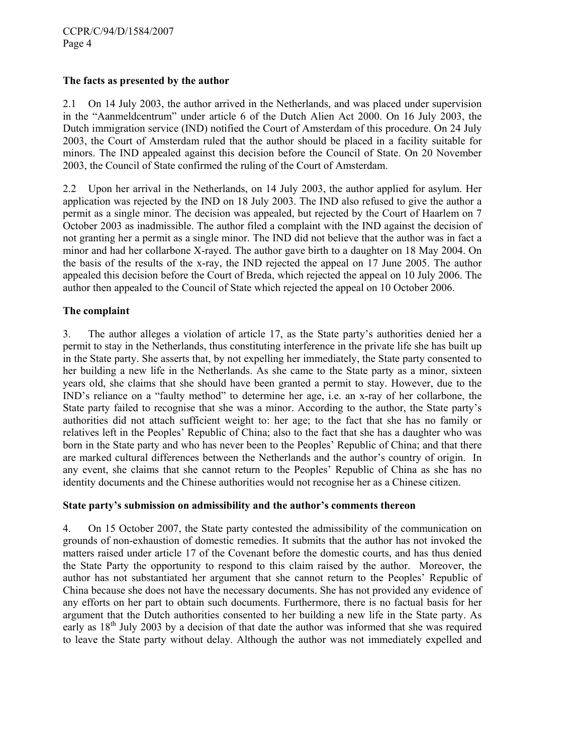# **The facts as presented by the author**

2.1 On 14 July 2003, the author arrived in the Netherlands, and was placed under supervision in the "Aanmeldcentrum" under article 6 of the Dutch Alien Act 2000. On 16 July 2003, the Dutch immigration service (IND) notified the Court of Amsterdam of this procedure. On 24 July 2003, the Court of Amsterdam ruled that the author should be placed in a facility suitable for minors. The IND appealed against this decision before the Council of State. On 20 November 2003, the Council of State confirmed the ruling of the Court of Amsterdam.

2.2 Upon her arrival in the Netherlands, on 14 July 2003, the author applied for asylum. Her application was rejected by the IND on 18 July 2003. The IND also refused to give the author a permit as a single minor. The decision was appealed, but rejected by the Court of Haarlem on 7 October 2003 as inadmissible. The author filed a complaint with the IND against the decision of not granting her a permit as a single minor. The IND did not believe that the author was in fact a minor and had her collarbone X-rayed. The author gave birth to a daughter on 18 May 2004. On the basis of the results of the x-ray, the IND rejected the appeal on 17 June 2005. The author appealed this decision before the Court of Breda, which rejected the appeal on 10 July 2006. The author then appealed to the Council of State which rejected the appeal on 10 October 2006.

## **The complaint**

3. The author alleges a violation of article 17, as the State party's authorities denied her a permit to stay in the Netherlands, thus constituting interference in the private life she has built up in the State party. She asserts that, by not expelling her immediately, the State party consented to her building a new life in the Netherlands. As she came to the State party as a minor, sixteen years old, she claims that she should have been granted a permit to stay. However, due to the IND's reliance on a "faulty method" to determine her age, i.e. an x-ray of her collarbone, the State party failed to recognise that she was a minor. According to the author, the State party's authorities did not attach sufficient weight to: her age; to the fact that she has no family or relatives left in the Peoples' Republic of China; also to the fact that she has a daughter who was born in the State party and who has never been to the Peoples' Republic of China; and that there are marked cultural differences between the Netherlands and the author's country of origin. In any event, she claims that she cannot return to the Peoples' Republic of China as she has no identity documents and the Chinese authorities would not recognise her as a Chinese citizen.

### **State party's submission on admissibility and the author's comments thereon**

4. On 15 October 2007, the State party contested the admissibility of the communication on grounds of non-exhaustion of domestic remedies. It submits that the author has not invoked the matters raised under article 17 of the Covenant before the domestic courts, and has thus denied the State Party the opportunity to respond to this claim raised by the author. Moreover, the author has not substantiated her argument that she cannot return to the Peoples' Republic of China because she does not have the necessary documents. She has not provided any evidence of any efforts on her part to obtain such documents. Furthermore, there is no factual basis for her argument that the Dutch authorities consented to her building a new life in the State party. As early as  $18<sup>th</sup>$  July 2003 by a decision of that date the author was informed that she was required to leave the State party without delay. Although the author was not immediately expelled and